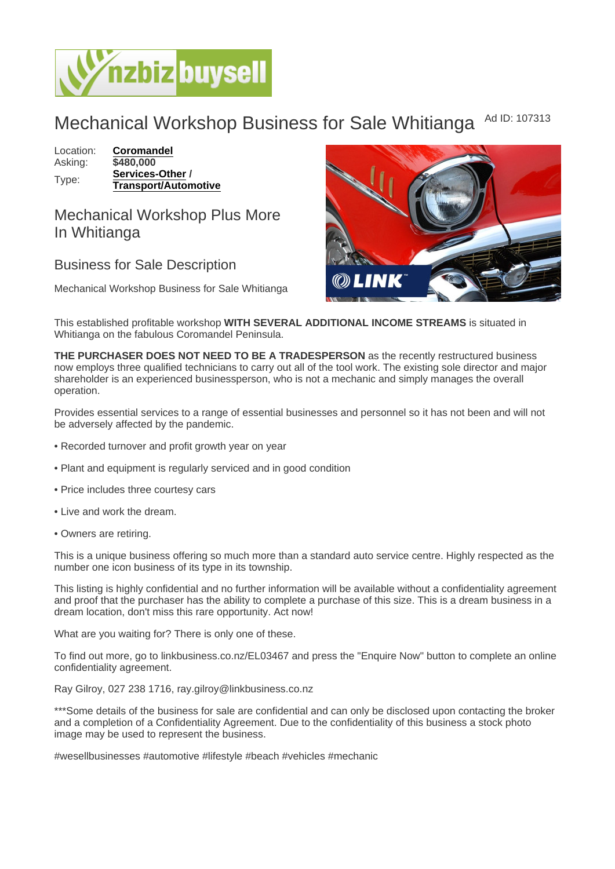## Mechanical Workshop Business for Sale Whitianga Ad ID: 107313

Location: [Coromandel](https://www.nzbizbuysell.co.nz/businesses-for-sale/location/Coromandel) Asking: \$480,000 Type: [Services-Other](https://www.nzbizbuysell.co.nz/businesses-for-sale/Services/New-Zealand) / Transport/Automotive

Mechanical Workshop Plus More In Whitianga

## Business for Sale Description

Mechanical Workshop Business for Sale Whitianga

This established profitable workshop WITH SEVERAL ADDITIONAL INCOME STREAMS is situated in Whitianga on the fabulous Coromandel Peninsula.

THE PURCHASER DOES NOT NEED TO BE A TRADESPERSON as the recently restructured business now employs three qualified technicians to carry out all of the tool work. The existing sole director and major shareholder is an experienced businessperson, who is not a mechanic and simply manages the overall operation.

Provides essential services to a range of essential businesses and personnel so it has not been and will not be adversely affected by the pandemic.

- Recorded turnover and profit growth year on year
- Plant and equipment is regularly serviced and in good condition
- Price includes three courtesy cars
- Live and work the dream.
- Owners are retiring.

This is a unique business offering so much more than a standard auto service centre. Highly respected as the number one icon business of its type in its township.

This listing is highly confidential and no further information will be available without a confidentiality agreement and proof that the purchaser has the ability to complete a purchase of this size. This is a dream business in a dream location, don't miss this rare opportunity. Act now!

What are you waiting for? There is only one of these.

To find out more, go to linkbusiness.co.nz/EL03467 and press the "Enquire Now" button to complete an online confidentiality agreement.

Ray Gilroy, 027 238 1716, ray.gilroy@linkbusiness.co.nz

\*\*\*Some details of the business for sale are confidential and can only be disclosed upon contacting the broker and a completion of a Confidentiality Agreement. Due to the confidentiality of this business a stock photo image may be used to represent the business.

#wesellbusinesses #automotive #lifestyle #beach #vehicles #mechanic